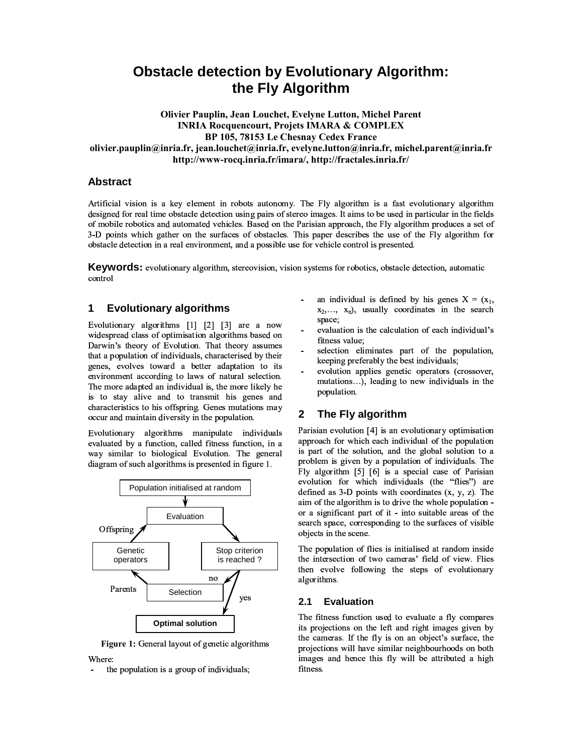# **Obstacle detection by Evolutionary Algorithm:** the Fly Algorithm

Olivier Pauplin, Jean Louchet, Evelyne Lutton, Michel Parent **INRIA Rocquencourt, Projets IMARA & COMPLEX** BP 105, 78153 Le Chesnay Cedex France olivier.pauplin@inria.fr, jean.louchet@inria.fr, evelyne.lutton@inria.fr, michel.parent@inria.fr http://www-rocq.inria.fr/imara/, http://fractales.inria.fr/

# **Abstract**

Artificial vision is a key element in robots autonomy. The Fly algorithm is a fast evolutionary algorithm designed for real time obstacle detection using pairs of stereo images. It aims to be used in particular in the fields of mobile robotics and automated vehicles. Based on the Parisian approach, the Fly algorithm produces a set of 3-D points which gather on the surfaces of obstacles. This paper describes the use of the Fly algorithm for obstacle detection in a real environment, and a possible use for vehicle control is presented.

**Keywords:** evolutionary algorithm, stereovision, vision systems for robotics, obstacle detection, automatic control

### **Evolutionary algorithms**  $\mathbf 1$

Evolutionary algorithms [1] [2] [3] are a now widespread class of optimisation algorithms based on Darwin's theory of Evolution. That theory assumes that a population of individuals, characterised by their genes, evolves toward a better adaptation to its environment according to laws of natural selection. The more adapted an individual is, the more likely he is to stay alive and to transmit his genes and characteristics to his offspring. Genes mutations may occur and maintain diversity in the population.

Evolutionary algorithms manipulate individuals evaluated by a function, called fitness function, in a way similar to biological Evolution. The general diagram of such algorithms is presented in figure 1.



Figure 1: General layout of genetic algorithms Where:

the population is a group of individuals;

- an individual is defined by his genes  $X = (x_1,$  $x_2, \ldots, x_n$ ), usually coordinates in the search space;
- evaluation is the calculation of each individual's fitness value:
- selection eliminates part of the population, keeping preferably the best individuals;
- evolution applies genetic operators (crossover, mutations...), leading to new individuals in the population.

### $\mathbf{2}$ The Fly algorithm

Parisian evolution [4] is an evolutionary optimisation approach for which each individual of the population is part of the solution, and the global solution to a problem is given by a population of individuals. The Fly algorithm [5] [6] is a special case of Parisian evolution for which individuals (the "flies") are defined as  $3-D$  points with coordinates  $(x, y, z)$ . The aim of the algorithm is to drive the whole population or a significant part of it - into suitable areas of the search space, corresponding to the surfaces of visible objects in the scene.

The population of flies is initialised at random inside the intersection of two cameras' field of view. Flies then evolve following the steps of evolutionary algorithms.

#### **Evaluation**  $2.1$

The fitness function used to evaluate a fly compares its projections on the left and right images given by the cameras. If the fly is on an object's surface, the projections will have similar neighbourhoods on both images and hence this fly will be attributed a high fitness.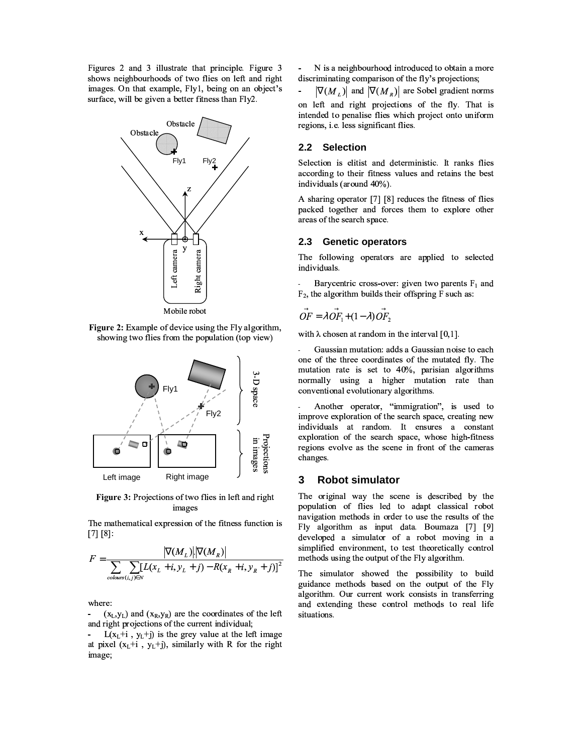Figures 2 and 3 illustrate that principle. Figure 3 shows neighbourhoods of two flies on left and right images. On that example, Fly1, being on an object's surface, will be given a better fitness than Fly2.



Figure 2: Example of device using the Fly algorithm, showing two flies from the population (top view)



Figure 3: Projections of two flies in left and right images

The mathematical expression of the fitness function is  $[7] [8]$ :

$$
F = \frac{|\nabla(M_L)| |\nabla(M_R)|}{\sum_{\text{coburs}(i,j) \in N} [L(x_L + i, y_L + j) - R(x_R + i, y_R + j)]^2}
$$

where:

 $(x_L, y_L)$  and  $(x_R, y_R)$  are the coordinates of the left and right projections of the current individual;

-  $L(x_L+i, y_L+j)$  is the grey value at the left image at pixel  $(x_L + i, y_L + j)$ , similarly with R for the right image;

N is a neighbourhood introduced to obtain a more discriminating comparison of the fly's projections;

 $|\nabla(M_I)|$  and  $|\nabla(M_R)|$  are Sobel gradient norms on left and right projections of the fly. That is intended to penalise flies which project onto uniform regions, i.e. less significant flies.

## 2.2 Selection

Selection is elitist and deterministic. It ranks flies according to their fitness values and retains the best individuals (around 40%).

A sharing operator [7] [8] reduces the fitness of flies packed together and forces them to explore other areas of the search space.

#### $2.3$ **Genetic operators**

The following operators are applied to selected individuals.

Barycentric cross-over: given two parents  $F_1$  and  $F_2$ , the algorithm builds their offspring F such as:

$$
\vec{OF} = \lambda \vec{OF}_1 + (1 - \lambda) \vec{OF}_2
$$

with  $\lambda$  chosen at random in the interval [0,1].

Gaussian mutation: adds a Gaussian noise to each one of the three coordinates of the mutated fly. The mutation rate is set to 40%, parisian algorithms normally using a higher mutation rate than conventional evolutionary algorithms.

Another operator, "immigration", is used to improve exploration of the search space, creating new individuals at random. It ensures a constant exploration of the search space, whose high-fitness regions evolve as the scene in front of the cameras changes.

#### 3 **Robot simulator**

The original way the scene is described by the population of flies led to adapt classical robot navigation methods in order to use the results of the Fly algorithm as input data. Boumaza [7] [9] developed a simulator of a robot moving in a simplified environment, to test theoretically control methods using the output of the Fly algorithm.

The simulator showed the possibility to build guidance methods based on the output of the Fly algorithm. Our current work consists in transferring and extending these control methods to real life situations.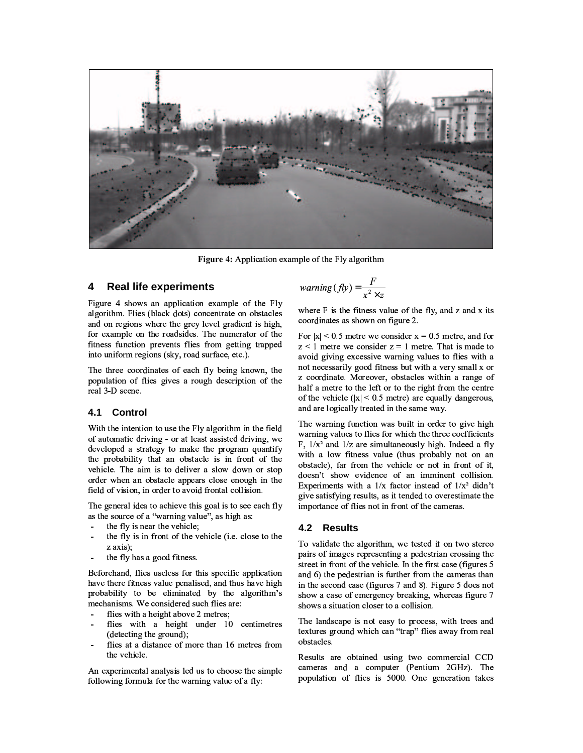

Figure 4: Application example of the Fly algorithm

#### $\boldsymbol{4}$ **Real life experiments**

Figure 4 shows an application example of the Fly algorithm. Flies (black dots) concentrate on obstacles and on regions where the grey level gradient is high, for example on the roadsides. The numerator of the fitness function prevents flies from getting trapped into uniform regions (sky, road surface, etc.).

The three coordinates of each fly being known, the population of flies gives a rough description of the real 3-D scene.

#### $4.1$ Control

With the intention to use the Fly algorithm in the field of automatic driving - or at least assisted driving, we developed a strategy to make the program quantify the probability that an obstacle is in front of the vehicle. The aim is to deliver a slow down or stop order when an obstacle appears close enough in the field of vision, in order to avoid frontal collision.

The general idea to achieve this goal is to see each fly as the source of a "warning value", as high as:

- the fly is near the vehicle;
- the fly is in front of the vehicle (*i.e.* close to the  $z \text{ axis};$
- the fly has a good fitness.

Beforehand, flies useless for this specific application have there fitness value penalised, and thus have high probability to be eliminated by the algorithm's mechanisms. We considered such flies are:

- flies with a height above 2 metres;
- flies with a height under 10 centimetres (detecting the ground);
- flies at a distance of more than 16 metres from the vehicle.

An experimental analysis led us to choose the simple following formula for the warning value of a fly:

$$
warning(fly) = \frac{F}{x^2 \times z}
$$

where F is the fitness value of the fly, and z and x its coordinates as shown on figure 2.

For  $|x|$  < 0.5 metre we consider  $x = 0.5$  metre, and for  $z < 1$  metre we consider  $z = 1$  metre. That is made to avoid giving excessive warning values to flies with a not necessarily good fitness but with a very small x or z coordinate. Moreover, obstacles within a range of half a metre to the left or to the right from the centre of the vehicle ( $|x|$  < 0.5 metre) are equally dangerous, and are logically treated in the same way.

The warning function was built in order to give high warning values to flies for which the three coefficients F,  $1/x^2$  and  $1/z$  are simultaneously high. Indeed a fly with a low fitness value (thus probably not on an obstacle), far from the vehicle or not in front of it, doesn't show evidence of an imminent collision. Experiments with a  $1/x$  factor instead of  $1/x^2$  didn't give satisfying results, as it tended to overestimate the importance of flies not in front of the cameras.

# 4.2 Results

To validate the algorithm, we tested it on two stereo pairs of images representing a pedestrian crossing the street in front of the vehicle. In the first case (figures 5 and 6) the pedestrian is further from the cameras than in the second case (figures 7 and 8). Figure 5 does not show a case of emergency breaking, whereas figure 7 shows a situation closer to a collision.

The landscape is not easy to process, with trees and textures ground which can "trap" flies away from real obstacles.

Results are obtained using two commercial CCD cameras and a computer (Pentium 2GHz). The population of flies is 5000. One generation takes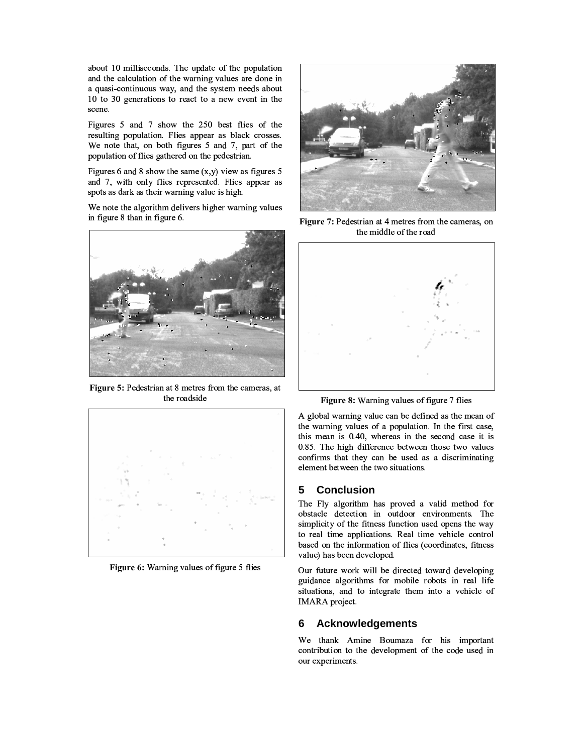about 10 milliseconds. The update of the population and the calculation of the warning values are done in a quasi-continuous way, and the system needs about 10 to 30 generations to react to a new event in the scene.

Figures 5 and 7 show the 250 best flies of the resulting population. Flies appear as black crosses. We note that, on both figures 5 and 7, part of the population of flies gathered on the pedestrian.

Figures 6 and 8 show the same  $(x, y)$  view as figures 5 and 7, with only flies represented. Flies appear as spots as dark as their warning value is high.

We note the algorithm delivers higher warning values in figure 8 than in figure 6.



Figure 5: Pedestrian at 8 metres from the cameras, at the roadside



Figure 6: Warning values of figure 5 flies



Figure 7: Pedestrian at 4 metres from the cameras, on the middle of the road



Figure 8: Warning values of figure 7 flies

A global warning value can be defined as the mean of the warning values of a population. In the first case, this mean is 0.40, whereas in the second case it is 0.85. The high difference between those two values confirms that they can be used as a discriminating element between the two situations.

### 5 **Conclusion**

The Fly algorithm has proved a valid method for obstacle detection in outdoor environments. The simplicity of the fitness function used opens the way to real time applications. Real time vehicle control based on the information of flies (coordinates, fitness value) has been developed.

Our future work will be directed toward developing guidance algorithms for mobile robots in real life situations, and to integrate them into a vehicle of IMARA project.

### **Acknowledgements** 6

We thank Amine Boumaza for his important contribution to the development of the code used in our experiments.